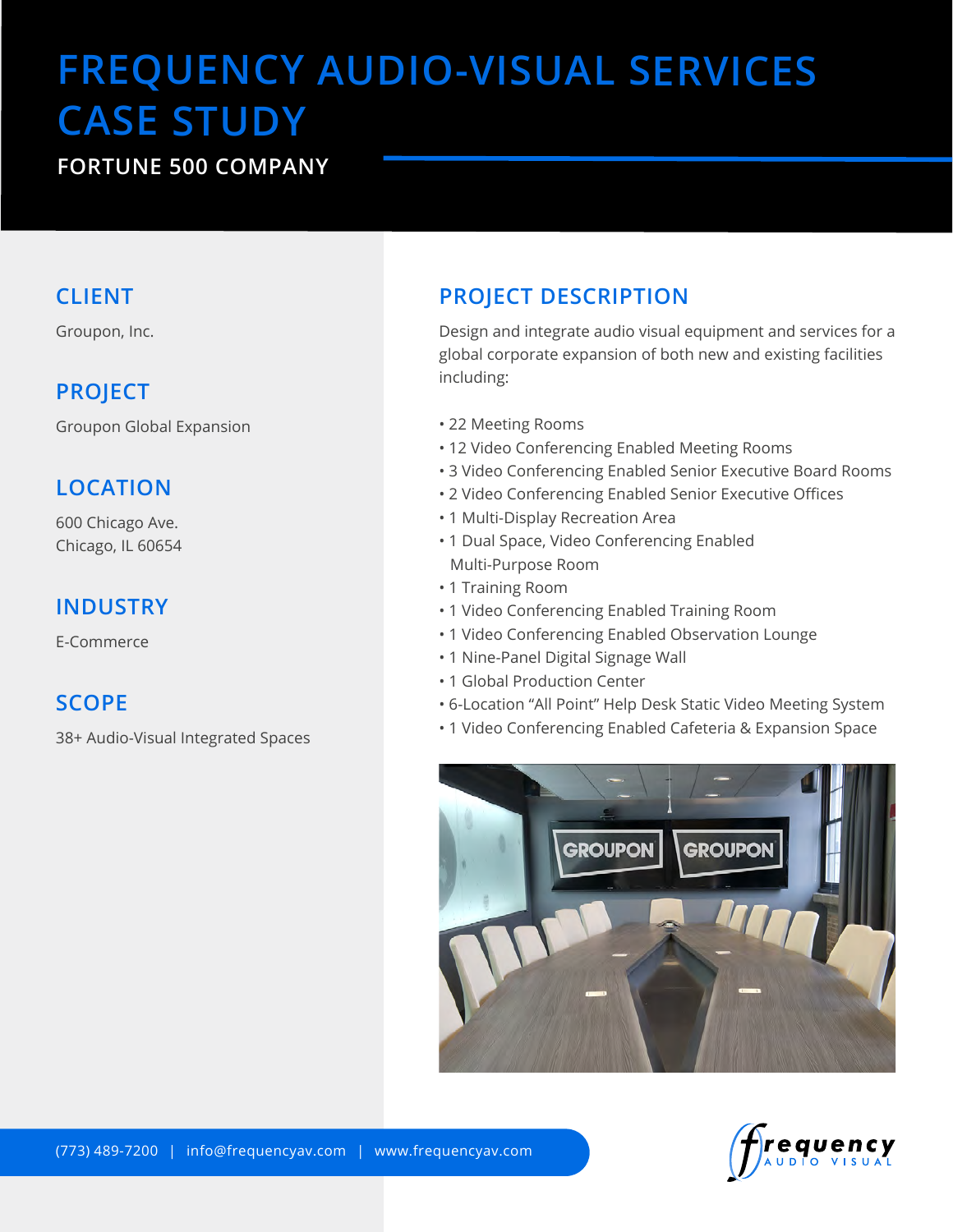# **FREQUENCY AUDIO-VISUAL SERVICES CASE STUDY**

# **FORTUNE 500 COMPANY**

#### **CLIENT**

Groupon, Inc.

## **PROJECT**

Groupon Global Expansion

# **LOCATION**

600 Chicago Ave. Chicago, IL 60654

#### **INDUSTRY**

E-Commerce

#### **SCOPE**

38+ Audio-Visual Integrated Spaces

# **PROJECT DESCRIPTION**

Design and integrate audio visual equipment and services for a global corporate expansion of both new and existing facilities including:

- 22 Meeting Rooms
- 12 Video Conferencing Enabled Meeting Rooms
- 3 Video Conferencing Enabled Senior Executive Board Rooms
- 2 Video Conferencing Enabled Senior Executive Offices
- 1 Multi-Display Recreation Area
- 1 Dual Space, Video Conferencing Enabled Multi-Purpose Room
- 1 Training Room
- 1 Video Conferencing Enabled Training Room
- 1 Video Conferencing Enabled Observation Lounge
- 1 Nine-Panel Digital Signage Wall
- 1 Global Production Center
- 6-Location "All Point" Help Desk Static Video Meeting System
- 1 Video Conferencing Enabled Cafeteria & Expansion Space